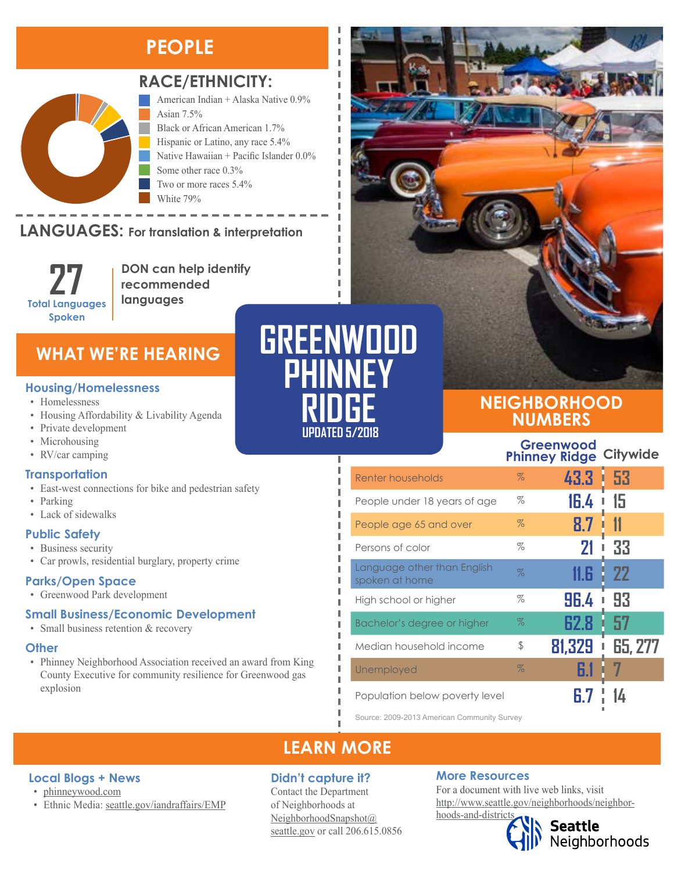# **PEOPLE**



## **RACE/ETHNICITY:**

American Indian + Alaska Native 0.9% Asian 7.5% Black or African American 1.7% Hispanic or Latino, any race 5.4% Native Hawaiian + Pacific Islander 0.0% Some other race 0.3% Two or more races 5.4% White 79%

#### LANGUAGES: For translation & interpretation Native Hawaiian and Other Pacific Islander Some Other Race



American Indian and Alaska Native Asian

**DON can help identify recommended languages**

# **WHAT WE'RE HEARING**

## **Housing/Homelessness**

- Homelessness
- Housing Affordability & Livability Agenda
- Private development
- Microhousing
- RV/car camping

## **Transportation**

- East-west connections for bike and pedestrian safety
- Parking
- Lack of sidewalks

## **Public Safety**

- Business security
- Car prowls, residential burglary, property crime

## **Parks/Open Space**

**Local Blogs + News** • [phinneywood.com](https://phinneywood.com/)

• Greenwood Park development

## **Small Business/Economic Development**

• Ethnic Media: [seattle.gov/iandraffairs/EMP](http://www.seattle.gov/iandraffairs/EMP)

• Small business retention & recovery

## **Other**

• Phinney Neighborhood Association received an award from King County Executive for community resilience for Greenwood gas explosion

| GREENWOOD |  |
|-----------|--|
| PHINNEY   |  |
| RIDHE     |  |

**UPDATED 5/2018**

I I л I

п Ï I

л I I п Л Ī

## **NEIGHBORHOOD NUMBERS**

|                                               |      | Greenwood<br><b>Phinney Ridge</b> | <b>Citywide</b>     |
|-----------------------------------------------|------|-----------------------------------|---------------------|
| Renter households                             | $\%$ | 43.3                              | 53                  |
| People under 18 years of age                  | %    | 16.4                              | 15                  |
| People age 65 and over                        | $\%$ | 8.7                               |                     |
| Persons of color                              | %    | 21                                | 33                  |
| Language other than English<br>spoken at home | $\%$ | 11.R                              | <b>22</b>           |
| High school or higher                         | %    | 96.4                              | 93                  |
| Bachelor's degree or higher                   | $\%$ | 62.8                              | 57                  |
| Median household income                       | \$   | 81,329                            | <b>65, 277</b><br>Ī |
| Unemployed                                    | $\%$ | 61                                |                     |
| Population below poverty level                |      |                                   |                     |

Source: 2009-2013 American Community Survey

# **LEARN MORE**

## **Didn't capture it?**

Contact the Department of Neighborhoods at [NeighborhoodSnapshot@](mailto:NeighborhoodSnapshot%40%0Aseattle.gov?subject=) [seattle.gov](mailto:NeighborhoodSnapshot%40%0Aseattle.gov?subject=) or call 206.615.0856

## **More Resources**

For a document with live web links, visit [http://www.seattle.gov/neighborhoods/neighbor](http://www.seattle.gov/neighborhoods/neighborhoods-and-districts)[hoods-and-districts](http://www.seattle.gov/neighborhoods/neighborhoods-and-districts)



Seattle<br>Neighborhoods